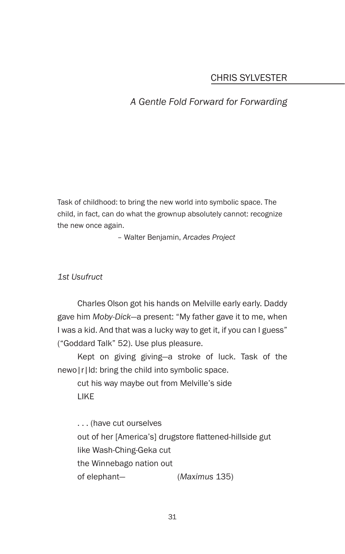# CHRIS SYLVESTER

## *A Gentle Fold Forward for Forwarding*

Task of childhood: to bring the new world into symbolic space. The child, in fact, can do what the grownup absolutely cannot: recognize the new once again.

– Walter Benjamin, *Arcades Project*

*1st Usufruct*

Charles Olson got his hands on Melville early early. Daddy gave him *Moby-Dick*—a present: "My father gave it to me, when I was a kid. And that was a lucky way to get it, if you can I guess" ("Goddard Talk" 52). Use plus pleasure.

Kept on giving giving—a stroke of luck. Task of the newo|r|ld: bring the child into symbolic space.

cut his way maybe out from Melville's side LIKE

. . . (have cut ourselves out of her [America's] drugstore flattened-hillside gut like Wash-Ching-Geka cut the Winnebago nation out of elephant— (*Maximus* 135)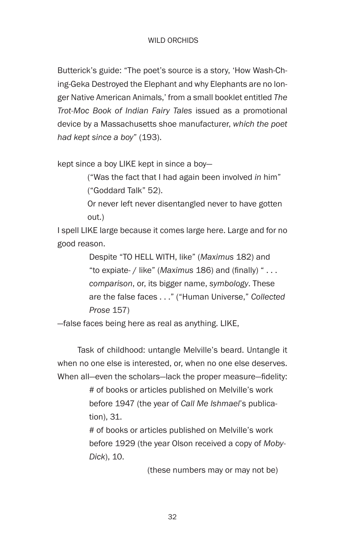Butterick's guide: "The poet's source is a story, 'How Wash-Ching-Geka Destroyed the Elephant and why Elephants are no longer Native American Animals,' from a small booklet entitled *The Trot-Moc Book of Indian Fairy Tales* issued as a promotional device by a Massachusetts shoe manufacturer, *which the poet had kept since a boy*" (193).

kept since a boy LIKE kept in since a boy—

 ("Was the fact that I had again been involved *in* him" ("Goddard Talk" 52).

 Or never left never disentangled never to have gotten out.)

I spell LIKE large because it comes large here. Large and for no good reason.

> Despite "TO HELL WITH, like" (*Maximus* 182) and "to expiate- / like" (*Maximus* 186) and (finally) " . . . *comparison*, or, its bigger name, *symbology*. These are the false faces . . ." ("Human Universe," *Collected Prose* 157)

—false faces being here as real as anything. LIKE,

Task of childhood: untangle Melville's beard. Untangle it when no one else is interested, or, when no one else deserves. When all—even the scholars—lack the proper measure—fidelity:

> # of books or articles published on Melville's work before 1947 (the year of *Call Me Ishmael*'s publication), 31.

# of books or articles published on Melville's work before 1929 (the year Olson received a copy of *Moby-Dick*), 10.

(these numbers may or may not be)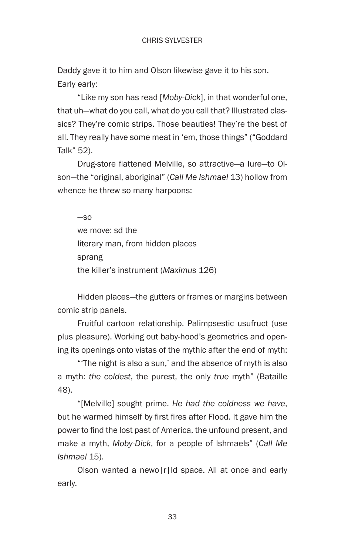Daddy gave it to him and Olson likewise gave it to his son. Early early:

"Like my son has read [*Moby-Dick*], in that wonderful one, that uh—what do you call, what do you call that? Illustrated classics? They're comic strips. Those beauties! They're the best of all. They really have some meat in 'em, those things" ("Goddard Talk" 52).

 Drug-store flattened Melville, so attractive—a lure—to Olson—the "original, aboriginal" (*Call Me Ishmael* 13) hollow from whence he threw so many harpoons:

—so we move: sd the literary man, from hidden places sprang the killer's instrument (*Maximus* 126)

Hidden places—the gutters or frames or margins between comic strip panels.

Fruitful cartoon relationship. Palimpsestic usufruct (use plus pleasure). Working out baby-hood's geometrics and opening its openings onto vistas of the mythic after the end of myth:

"'The night is also a sun,' and the absence of myth is also a myth: *the coldest*, the purest, the only *true* myth" (Bataille 48).

"[Melville] sought prime. *He had the coldness we have*, but he warmed himself by first fires after Flood. It gave him the power to find the lost past of America, the unfound present, and make a myth, *Moby-Dick*, for a people of Ishmaels" (*Call Me Ishmael* 15).

Olson wanted a newo|r|ld space. All at once and early early.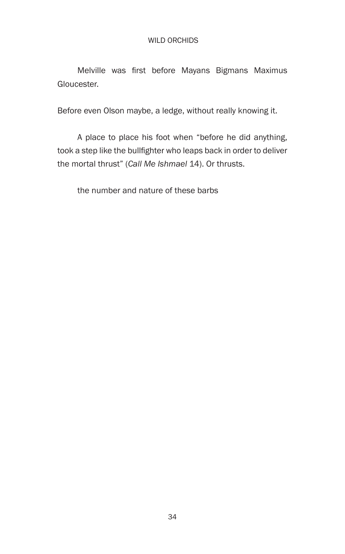Melville was first before Mayans Bigmans Maximus Gloucester.

Before even Olson maybe, a ledge, without really knowing it.

A place to place his foot when "before he did anything, took a step like the bullfighter who leaps back in order to deliver the mortal thrust" (*Call Me Ishmael* 14). Or thrusts.

the number and nature of these barbs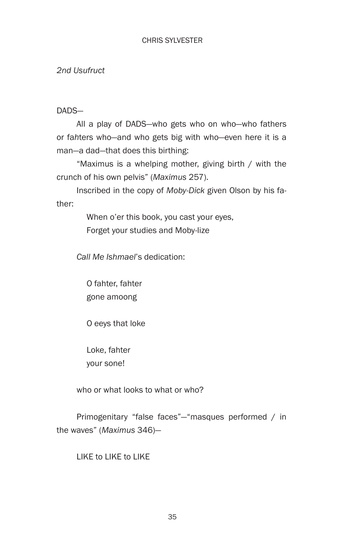*2nd Usufruct*

DADS—

All a play of DADS—who gets who on who—who fathers or fa*h*ters who—and who gets big with who—even here it is a man—a dad—that does this birthing:

 "Maximus is a whelping mother, giving birth / with the crunch of his own pelvis" (*Maximus* 257).

Inscribed in the copy of *Moby-Dick* given Olson by his father:

> When o'er this book, you cast your eyes, Forget your studies and Moby-lize

*Call Me Ishmael*'s dedication:

 O fahter, fahter gone amoong

O eeys that loke

 Loke, fahter your sone!

who or what looks to what or who?

 Primogenitary "false faces"—"masques performed / in the waves" (*Maximus* 346)—

LIKE to LIKE to LIKE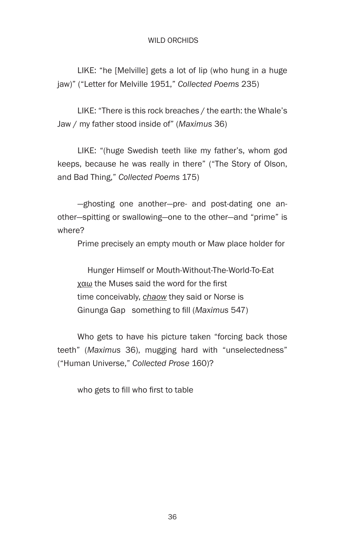LIKE: "he [Melville] gets a lot of lip (who hung in a huge jaw)" ("Letter for Melville 1951," *Collected Poems* 235)

 LIKE: "There is this rock breaches / the earth: the Whale's Jaw / my father stood inside of" (*Maximus* 36)

LIKE: "(huge Swedish teeth like my father's, whom god keeps, because he was really in there" ("The Story of Olson, and Bad Thing," *Collected Poems* 175)

 —ghosting one another—pre- and post-dating one another—spitting or swallowing—one to the other—and "prime" is where?

Prime precisely an empty mouth or Maw place holder for

 Hunger Himself or Mouth-Without-The-World-To-Eat χαω the Muses said the word for the first time conceivably, *chaow* they said or Norse is Ginunga Gap something to fill (*Maximus* 547)

Who gets to have his picture taken "forcing back those teeth" (*Maximus* 36), mugging hard with "unselectedness" ("Human Universe," *Collected Prose* 160)?

 who gets to fill who first to table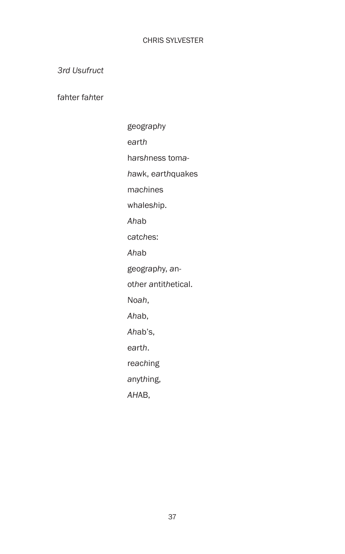*3rd Usufruct*

f*a*hter fa*h*ter

geogr*a*p*h*y e*a*rt*h* h*a*rs*h*ness tom*ah*awk, e*a*rt*h*quakes m*a*c*h*ines wh*a*les*h*ip. *Ah*ab c*a*tc*h*es: *Ah*ab geogr*a*p*h*y, *a*not*h*er *a*ntit*h*etical. No*ah*, *Ah*ab, *Ah*ab's, e*a*rt*h*. re*a*c*h*ing *a*nyt*h*ing, *AH*AB,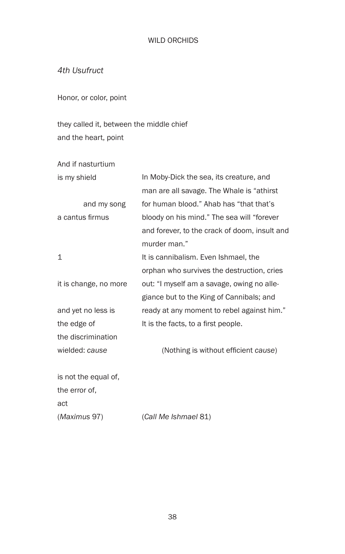*4th Usufruct*

Honor, or color, point

they called it, between the middle chief and the heart, point

And if nasturtium

| is my shield          | In Moby-Dick the sea, its creature, and       |
|-----------------------|-----------------------------------------------|
|                       | man are all savage. The Whale is "athirst"    |
| and my song           | for human blood." Ahab has "that that's       |
| a cantus firmus       | bloody on his mind." The sea will "forever    |
|                       | and forever, to the crack of doom, insult and |
|                       | murder man."                                  |
| 1                     | It is cannibalism. Even Ishmael, the          |
|                       | orphan who survives the destruction, cries    |
| it is change, no more | out: "I myself am a savage, owing no alle-    |
|                       | giance but to the King of Cannibals; and      |
| and yet no less is    | ready at any moment to rebel against him."    |
| the edge of           | It is the facts, to a first people.           |
| the discrimination    |                                               |
| wielded: cause        | (Nothing is without efficient cause)          |
| is not the equal of,  |                                               |
| the error of,         |                                               |
| act                   |                                               |
| (Maximus 97)          | (Call Me Ishmael 81)                          |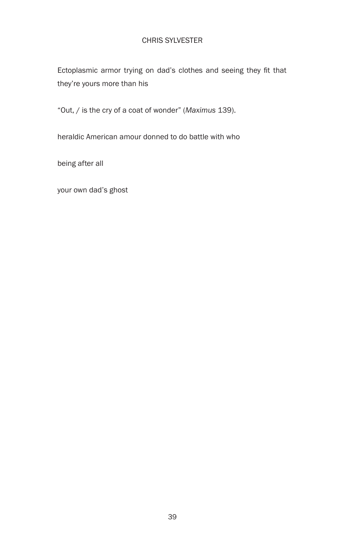## CHRIS SYLVESTER

Ectoplasmic armor trying on dad's clothes and seeing they fit that they're yours more than his

"Out, / is the cry of a coat of wonder" (*Maximus* 139).

heraldic American amour donned to do battle with who

being after all

your own dad's ghost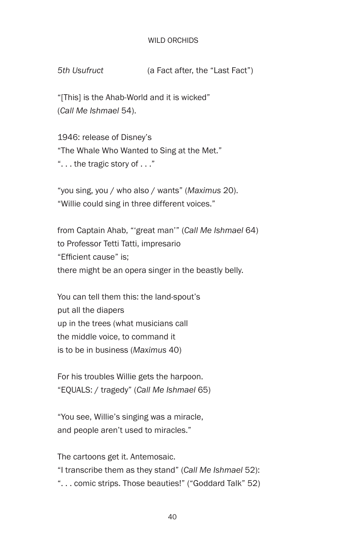*5th Usufruct* (a Fact after, the "Last Fact")

"[This] is the Ahab-World and it is wicked" (*Call Me Ishmael* 54).

1946: release of Disney's "The Whale Who Wanted to Sing at the Met." ". . . the tragic story of . . ."

"you sing, you / who also / wants" (*Maximus* 20). "Willie could sing in three different voices."

from Captain Ahab, "'great man'" (*Call Me Ishmael* 64) to Professor Tetti Tatti, impresario "Efficient cause" is; there might be an opera singer in the beastly belly.

You can tell them this: the land-spout's put all the diapers up in the trees (what musicians call the middle voice, to command it is to be in business (*Maximus* 40)

For his troubles Willie gets the harpoon. "EQUALS: / tragedy" (*Call Me Ishmael* 65)

"You see, Willie's singing was a miracle, and people aren't used to miracles."

The cartoons get it. Antemosaic. "I transcribe them as they stand" (*Call Me Ishmael* 52): ". . . comic strips. Those beauties!" ("Goddard Talk" 52)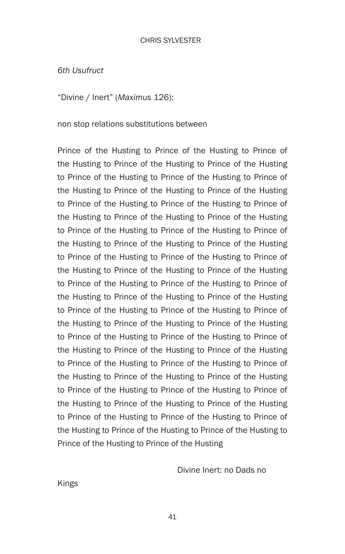*6th Usufruct*

"Divine / Inert" (*Maximus* 126):

non stop relations substitutions between

Prince of the Husting to Prince of the Husting to Prince of the Husting to Prince of the Husting to Prince of the Husting to Prince of the Husting to Prince of the Husting to Prince of the Husting to Prince of the Husting to Prince of the Husting to Prince of the Husting to Prince of the Husting to Prince of the Husting to Prince of the Husting to Prince of the Husting to Prince of the Husting to Prince of the Husting to Prince of the Husting to Prince of the Husting to Prince of the Husting to Prince of the Husting to Prince of the Husting to Prince of the Husting to Prince of the Husting to Prince of the Husting to Prince of the Husting to Prince of the Husting to Prince of the Husting to Prince of the Husting to Prince of the Husting to Prince of the Husting to Prince of the Husting to Prince of the Husting to Prince of the Husting to Prince of the Husting to Prince of the Husting to Prince of the Husting to Prince of the Husting to Prince of the Husting to Prince of the Husting to Prince of the Husting to Prince of the Husting to Prince of the Husting to Prince of the Husting to Prince of the Husting to Prince of the Husting to Prince of the Husting to Prince of the Husting to Prince of the Husting to Prince of the Husting to Prince of the Husting to Prince of the Husting to Prince of the Husting to Prince of the Husting to Prince of the Husting to Prince of the Husting to Prince of the Husting

Divine Inert: no Dads no

Kings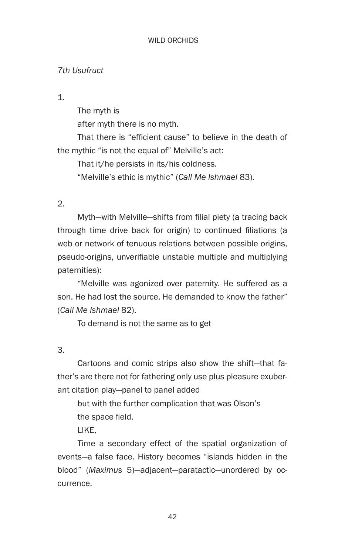## *7th Usufruct*

1.

The myth is after myth there is no myth.

 That there is "efficient cause" to believe in the death of the mythic "is not the equal of" Melville's act:

 That it/he persists in its/his coldness.

"Melville's ethic is mythic" (*Call Me Ishmael* 83).

2.

 Myth—with Melville—shifts from filial piety (a tracing back through time drive back for origin) to continued filiations (a web or network of tenuous relations between possible origins, pseudo-origins, unverifiable unstable multiple and multiplying paternities):

"Melville was agonized over paternity. He suffered as a son. He had lost the source. He demanded to know the father" (*Call Me Ishmael* 82).

To demand is not the same as to get

3.

Cartoons and comic strips also show the shift—that father's are there not for fathering only use plus pleasure exuberant citation play—panel to panel added

but with the further complication that was Olson's the space field.

LIKE,

Time a secondary effect of the spatial organization of events—a false face. History becomes "islands hidden in the blood" (*Maximus* 5)—adjacent—paratactic—unordered by occurrence.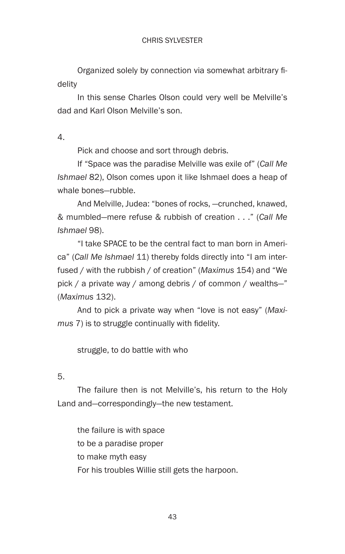Organized solely by connection via somewhat arbitrary fidelity

In this sense Charles Olson could very well be Melville's dad and Karl Olson Melville's son.

4.

Pick and choose and sort through debris.

If "Space was the paradise Melville was exile of" (*Call Me Ishmael* 82), Olson comes upon it like Ishmael does a heap of whale bones—rubble.

And Melville, Judea: "bones of rocks, —crunched, knawed, & mumbled—mere refuse & rubbish of creation . . ." (*Call Me Ishmael* 98).

"I take SPACE to be the central fact to man born in America" (*Call Me Ishmael* 11) thereby folds directly into "I am interfused / with the rubbish / of creation" (*Maximus* 154) and "We pick / a private way / among debris / of common / wealths—" (*Maximus* 132).

And to pick a private way when "love is not easy" (*Maximus* 7) is to struggle continually with fidelity.

struggle, to do battle with who

5.

The failure then is not Melville's, his return to the Holy Land and—correspondingly—the new testament.

the failure is with space to be a paradise proper to make myth easy For his troubles Willie still gets the harpoon.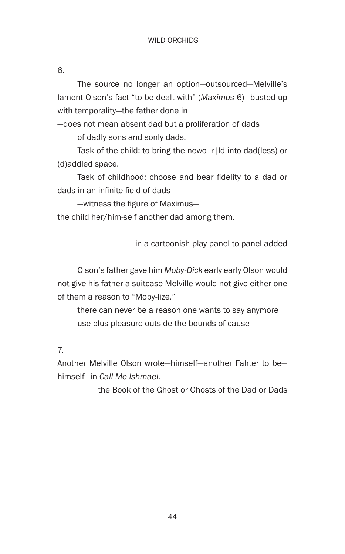6.

The source no longer an option—outsourced—Melville's lament Olson's fact "to be dealt with" (*Maximus* 6)—busted up with temporality—the father done in

—does not mean absent dad but a proliferation of dads

of dadly sons and sonly dads.

Task of the child: to bring the newo|r|ld into dad(less) or (d)addled space.

 Task of childhood: choose and bear fidelity to a dad or dads in an infinite field of dads

 —witness the figure of Maximus—

the child her/him-self another dad among them.

in a cartoonish play panel to panel added

Olson's father gave him *Moby-Dick* early early Olson would not give his father a suitcase Melville would not give either one of them a reason to "Moby-lize."

there can never be a reason one wants to say anymore use plus pleasure outside the bounds of cause

7.

Another Melville Olson wrote—himself—another Fahter to be himself—in *Call Me Ishmael*.

the Book of the Ghost or Ghosts of the Dad or Dads